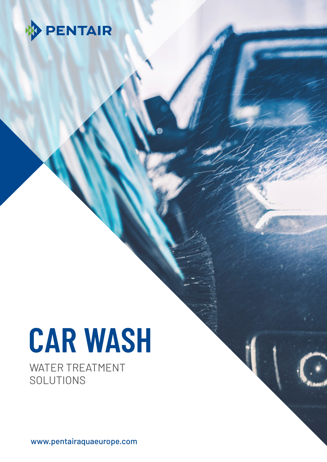

# **CAR WASH**

WATER TREATMENT SOLUTIONS

www.pentairaquaeurope.com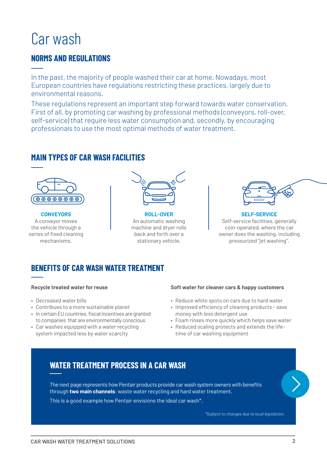# Car wash

## **NORMS AND REGULATIONS**

In the past, the majority of people washed their car at home. Nowadays, most European countries have regulations restricting these practices, largely due to environmental reasons.

These regulations represent an important step forward towards water conservation. First of all, by promoting car washing by professional methods (conveyors, roll-over, self-service) that require less water consumption and, secondly, by encouraging professionals to use the most optimal methods of water treatment.

### **MAIN TYPES OF CAR WASH FACILITIES**



**CONVEYORS** A conveyor moves the vehicle through a series of fixed cleaning mechanisms.



**ROLL-OVER** An automatic washing machine and dryer rolls back and forth over a stationary vehicle.



**SELF-SERVICE** Self-service facilities, generally coin-operated, where the car owner does the washing, including pressurized "jet washing".

## **BENEFITS OF CAR WASH WATER TREATMENT**

#### **Recycle treated water for reuse**

- Decreased water bills
- Contribues to a more sustainable planet
- In certain EU countries, fiscal incentives are granted to companies that are environmentally conscious
- Car washes equipped with a water recycling system impacted less by water scarcity

#### **Soft water for cleaner cars & happy customers**

- Reduce white spots on cars due to hard water
- Improved efficiency of cleaning products save money with less detergent use
- Foam rinses more quickly which helps save water
- Reduced scaling protects and extends the lifetime of car washing equipment

# **WATER TREATMENT PROCESS IN A CAR WASH**

The next page represents how Pentair products provide car wash system owners with benefits through **two main channels**: waste water recycling and hard water treatment.

This is a good example how Pentair envisions the ideal car wash\*.

*\*Subject to changes due to local legislation.*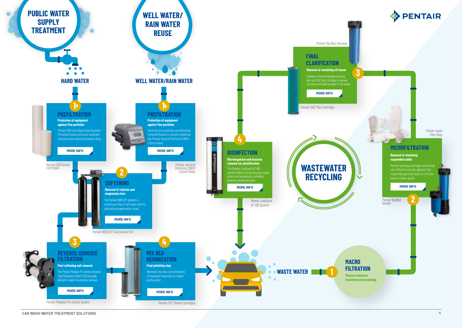**CAR WASH WATER TREATMENT SOLUTIONS 4**





*Pentair Big Blue Vessels*

*Pentair Liquid Filter Bags*

### **MICROFILTRATION**

#### **Removal of remaining suspended solids**

Pentair housings and bags are an easy cost effective solution against finer suspended particles down to 1 micron (size of a flour grain).



**2**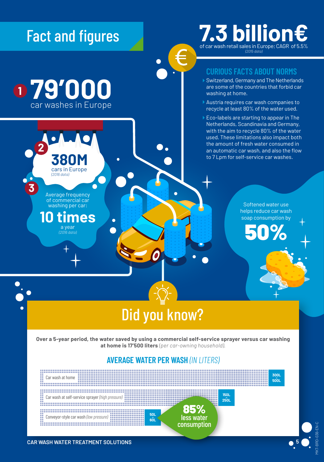

**79'000**

car washes in Europe

Average frequency of commercial car washing per car:

*(2016 data)*

**380M**  cars in Europe

**3**

**2**

**1**

a year *(2016 data)*

**10 times** 

 $\bullet$ 

# **7.3 billion€** *(2015 data)*

## **CURIOUS FACTS ABOUT NORMS**

- ▶ Switzerland, Germany and The Netherlands are some of the countries that forbid car washing at home.
- Austria requires car wash companies to recycle at least 80% of the water used.
- Eco-labels are starting to appear in The Netherlands, Scandinavia and Germany, with the aim to recycle 80% of the water used. These limitations also impact both the amount of fresh water consumed in an automatic car wash, and also the flow to 7 Lpm for self-service car washes.

Softened water use helps reduce car wash soap consumption by

50%

# Did you know?

è

**Over a 5-year period, the water saved by using a commercial self-service sprayer versus car washing at home is 17'500 liters** *(per car-owning household).*

### **AVERAGE WATER PER WASH** *(IN LITERS)*



MKT-BRO-036-EN-C